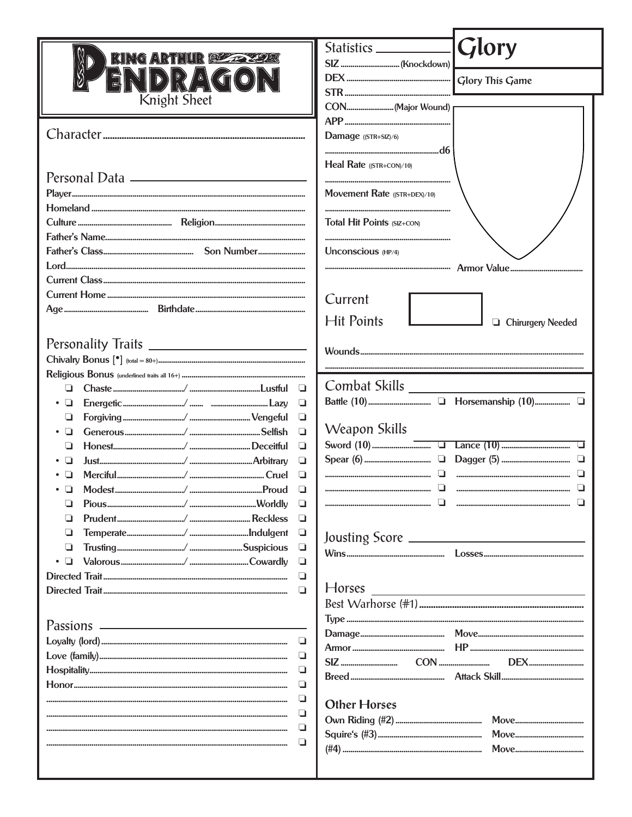| KING ARTHUR RUZZ 2472                       |                              | <b>Glory</b>             |
|---------------------------------------------|------------------------------|--------------------------|
|                                             |                              |                          |
| $\triangle$                                 |                              |                          |
| Knight Sheet                                |                              |                          |
|                                             |                              |                          |
|                                             | Damage ((STR+SIZ)/6)         |                          |
|                                             |                              |                          |
|                                             | Heal Rate ((STR+CON)/10)     |                          |
| Personal Data <u>______________________</u> |                              |                          |
|                                             | Movement Rate ((STR+DEX)/10) |                          |
|                                             |                              |                          |
|                                             | Total Hit Points (SIZ+CON)   |                          |
|                                             |                              |                          |
|                                             | Unconscious (HP/4)           |                          |
|                                             |                              |                          |
|                                             |                              |                          |
|                                             | Current                      |                          |
|                                             | <b>Hit Points</b>            |                          |
|                                             |                              | <b>Chirurgery Needed</b> |
|                                             |                              |                          |
|                                             |                              |                          |
|                                             |                              |                          |
| □<br>⊔                                      |                              |                          |
| ❏<br>•⊔                                     |                              |                          |
| ⊔<br>❏                                      |                              |                          |
|                                             | Weapon Skills<br>▫           |                          |
| ◘                                           |                              |                          |
| ◘                                           |                              | u                        |
|                                             | ⊔                            |                          |
| • ⊔                                         | ❏                            |                          |
| ⊔                                           |                              |                          |
| ⊔                                           | u                            |                          |
| ❏<br>❏                                      |                              |                          |
| $\bullet$ $\Box$<br>⊔                       |                              |                          |
|                                             | ⊔                            |                          |
|                                             | Horses<br>◘                  |                          |
|                                             |                              |                          |
| <b>Passions</b>                             |                              |                          |
| ❏                                           |                              |                          |
| $\Box$                                      |                              |                          |
| ❏                                           |                              |                          |
| u                                           |                              |                          |
| ❏                                           |                              |                          |
|                                             | <b>Other Horses</b><br>❏     |                          |
| ❏                                           |                              |                          |
|                                             | ❏                            |                          |
|                                             |                              |                          |
|                                             |                              |                          |
|                                             |                              |                          |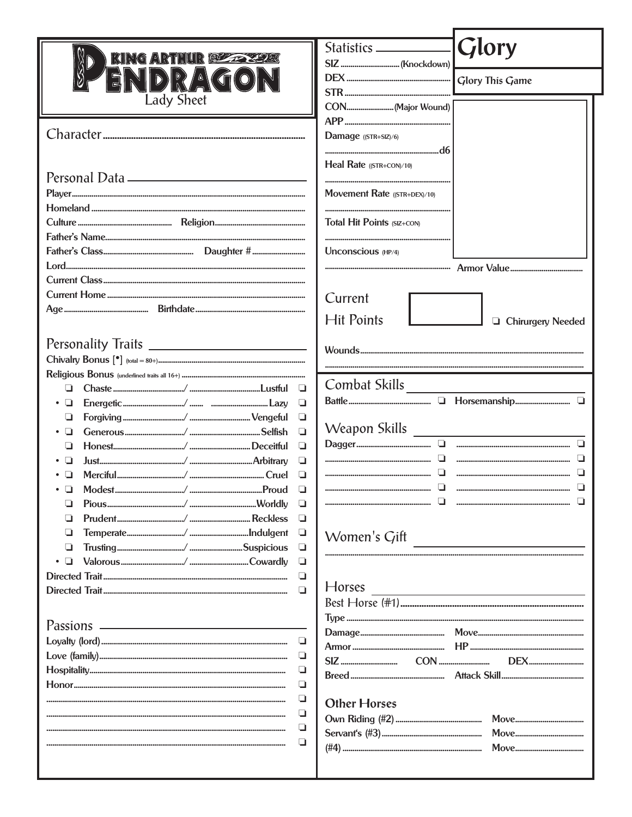| KING ARTHUR BEZZ ZEZEC     | Glory                                                                                                                                                                                                                                                 |
|----------------------------|-------------------------------------------------------------------------------------------------------------------------------------------------------------------------------------------------------------------------------------------------------|
|                            |                                                                                                                                                                                                                                                       |
| $\sqrt[3]{\frac{1}{2}}$ (1 |                                                                                                                                                                                                                                                       |
| <b>Lady Sheet</b>          |                                                                                                                                                                                                                                                       |
|                            |                                                                                                                                                                                                                                                       |
|                            | Damage ((STR+SIZ)/6)                                                                                                                                                                                                                                  |
|                            |                                                                                                                                                                                                                                                       |
|                            | Heal Rate ((STR+CON)/10)                                                                                                                                                                                                                              |
|                            |                                                                                                                                                                                                                                                       |
|                            | Movement Rate ((STR+DEX)/10)                                                                                                                                                                                                                          |
|                            |                                                                                                                                                                                                                                                       |
|                            | Total Hit Points (SIZ+CON)                                                                                                                                                                                                                            |
|                            |                                                                                                                                                                                                                                                       |
|                            | Unconscious (HP/4)                                                                                                                                                                                                                                    |
|                            |                                                                                                                                                                                                                                                       |
|                            |                                                                                                                                                                                                                                                       |
|                            | Current                                                                                                                                                                                                                                               |
|                            | <b>Hit Points</b>                                                                                                                                                                                                                                     |
|                            | <b>Q</b> Chirurgery Needed                                                                                                                                                                                                                            |
|                            |                                                                                                                                                                                                                                                       |
|                            |                                                                                                                                                                                                                                                       |
|                            |                                                                                                                                                                                                                                                       |
|                            | Combat Skills                                                                                                                                                                                                                                         |
| ❏                          |                                                                                                                                                                                                                                                       |
| u<br>u                     |                                                                                                                                                                                                                                                       |
| $\Box$<br>□                |                                                                                                                                                                                                                                                       |
| ❏                          |                                                                                                                                                                                                                                                       |
| □<br>❏                     |                                                                                                                                                                                                                                                       |
| ❏                          |                                                                                                                                                                                                                                                       |
| ❏                          | ◘                                                                                                                                                                                                                                                     |
| u                          |                                                                                                                                                                                                                                                       |
| ❏                          |                                                                                                                                                                                                                                                       |
| ❏                          | Women's Gift                                                                                                                                                                                                                                          |
| □<br>❏                     |                                                                                                                                                                                                                                                       |
| ❏                          |                                                                                                                                                                                                                                                       |
| $\Box$                     | <b>Horses</b><br><u> Andreas Andreas Andreas Andreas Andreas Andreas Andreas Andreas Andreas Andreas Andreas Andreas Andreas Andreas Andreas Andreas Andreas Andreas Andreas Andreas Andreas Andreas Andreas Andreas Andreas Andreas Andreas Andr</u> |
|                            |                                                                                                                                                                                                                                                       |
|                            |                                                                                                                                                                                                                                                       |
|                            |                                                                                                                                                                                                                                                       |
| $\Box$                     |                                                                                                                                                                                                                                                       |
| ❏                          | <b>DEX</b>                                                                                                                                                                                                                                            |
| ❏                          |                                                                                                                                                                                                                                                       |
| ❏                          | <b>Other Horses</b>                                                                                                                                                                                                                                   |
| $\Box$                     |                                                                                                                                                                                                                                                       |
| ❏                          |                                                                                                                                                                                                                                                       |
| ❏                          |                                                                                                                                                                                                                                                       |
|                            |                                                                                                                                                                                                                                                       |
|                            |                                                                                                                                                                                                                                                       |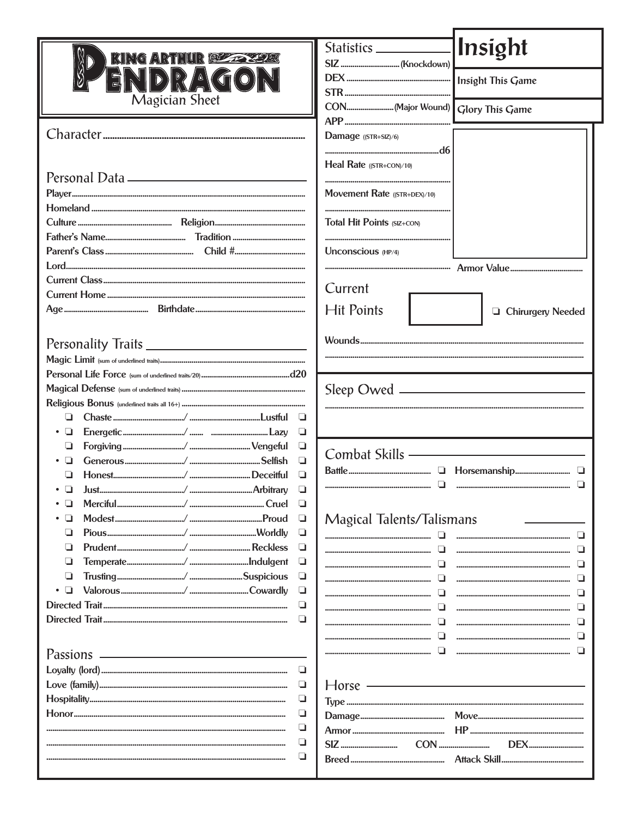|                       |        | Insight<br>Statistics <u>______________</u> |
|-----------------------|--------|---------------------------------------------|
| KING ARTHUR BEZZEZE   |        |                                             |
| $\triangle$ (G(       |        |                                             |
|                       |        |                                             |
| <b>Magician Sheet</b> |        | CON(Major Wound)<br><b>Glory This Game</b>  |
|                       |        | Damage ((STR+SIZ)/6)                        |
|                       |        |                                             |
|                       |        | Heal Rate $(STR+CON)/10$                    |
|                       |        | Movement Rate ((STR+DEX)/10)                |
|                       |        | Total Hit Points (SIZ+CON)                  |
|                       |        |                                             |
|                       |        | Unconscious (HP/4)                          |
|                       |        |                                             |
|                       |        |                                             |
|                       |        | Current                                     |
|                       |        | <b>Hit Points</b><br>□ Chirurgery Needed    |
|                       |        |                                             |
|                       |        |                                             |
|                       |        |                                             |
|                       |        |                                             |
|                       |        |                                             |
| ப                     | u      |                                             |
| •⊔                    | ❏      |                                             |
| ⊔                     | u      | Combat Skills ————————————                  |
|                       | ❏      | u                                           |
|                       | ◻      |                                             |
| • ⊔                   | ❏      |                                             |
|                       | u<br>u |                                             |
| u                     | ❏      | Magical Talents/Talismans                   |
| ⊔                     | u      | П                                           |
| ⊔                     | ч      | ப                                           |
| ⊔                     | ❏      |                                             |
|                       | $\Box$ | ப                                           |
|                       | u      | ⊔                                           |
|                       | $\Box$ |                                             |
|                       |        |                                             |
|                       |        | ப                                           |
|                       | ч      |                                             |
|                       | $\Box$ | $Horse$ $\longrightarrow$                   |
|                       | О      |                                             |
|                       | ❏      |                                             |
|                       | ❏      |                                             |
|                       | ❏      | <b>DEX</b>                                  |
|                       | ❏      |                                             |
|                       |        |                                             |